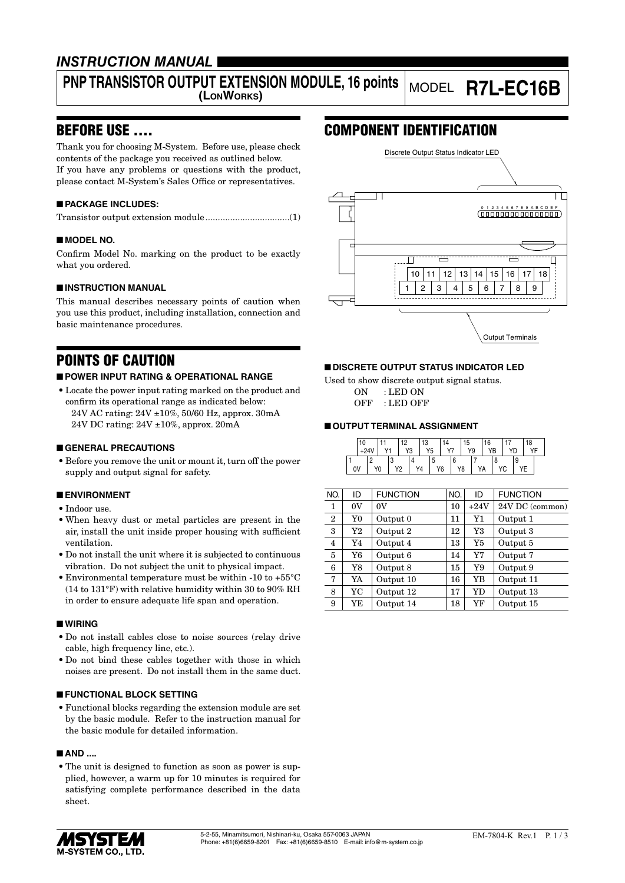### *INSTRUCTION MANUAL*

# **PNP TRANSISTOR OUTPUT EXTENSION MODULE, 16 points**

## **(LONWORKS)** MODEL **R7L-EC16B**

### BEFORE USE ....

Thank you for choosing M-System. Before use, please check contents of the package you received as outlined below. If you have any problems or questions with the product, please contact M-System's Sales Office or representatives.

#### ■ **PACKAGE INCLUDES:**

|--|--|

#### ■ **MODEL NO.**

Confirm Model No. marking on the product to be exactly what you ordered.

#### ■ **INSTRUCTION MANUAL**

This manual describes necessary points of caution when you use this product, including installation, connection and basic maintenance procedures.

### POINTS OF CAUTION

#### ■ **POWER INPUT RATING & OPERATIONAL RANGE**

• Locate the power input rating marked on the product and confirm its operational range as indicated below: 24V AC rating: 24V ±10%, 50/60 Hz, approx. 30mA 24V DC rating: 24V ±10%, approx. 20mA

#### ■ **GENERAL PRECAUTIONS**

• Before you remove the unit or mount it, turn off the power supply and output signal for safety.

#### ■ **ENVIRONMENT**

- Indoor use.
- When heavy dust or metal particles are present in the air, install the unit inside proper housing with sufficient ventilation.
- Do not install the unit where it is subjected to continuous vibration. Do not subject the unit to physical impact.
- Environmental temperature must be within -10 to +55°C (14 to 131°F) with relative humidity within 30 to 90% RH in order to ensure adequate life span and operation.

#### ■ **WIRING**

- Do not install cables close to noise sources (relay drive cable, high frequency line, etc.).
- Do not bind these cables together with those in which noises are present. Do not install them in the same duct.

#### ■ **FUNCTIONAL BLOCK SETTING**

• Functional blocks regarding the extension module are set by the basic module. Refer to the instruction manual for the basic module for detailed information.

#### ■ **AND** ....

• The unit is designed to function as soon as power is supplied, however, a warm up for 10 minutes is required for satisfying complete performance described in the data sheet.

### COMPONENT IDENTIFICATION



#### ■ **DISCRETE OUTPUT STATUS INDICATOR LED**

Used to show discrete output signal status. ON : LED ON OFF : LED OFF

#### ■ **OUTPUT TERMINAL ASSIGNMENT**

|    |  | $\sqrt{4}$ |    | ın<br>Y3 | 13<br>Y5 |         |    | د، | Y9 | 16  |  | 18<br>$V\Gamma$ |  |
|----|--|------------|----|----------|----------|---------|----|----|----|-----|--|-----------------|--|
| 0٧ |  | Y0         | V9 |          | Υ4       | $\cdot$ | Y6 | Y8 |    | ,,, |  |                 |  |

| ID          | <b>FUNCTION</b> | NO. | ID        | <b>FUNCTION</b> |
|-------------|-----------------|-----|-----------|-----------------|
| 0V          | 0V              | 10  | $+24V$    | 24V DC (common) |
| Y0          | Output 0        | 11  | Y1        | Output 1        |
| Y2          | Output 2        | 12  | Y3        | Output 3        |
| Y4          | Output 4        | 13  | Y5        | Output 5        |
| Y6          | Output 6        | 14  | Y7        | Output 7        |
| $_{\rm Y8}$ | Output 8        | 15  | Y9        | Output 9        |
| YA          | Output 10       | 16  | YB        | Output 11       |
| YC          | Output 12       | 17  | <b>YD</b> | Output 13       |
| YE          | Output 14       | 18  | YF        | Output 15       |
|             |                 |     |           |                 |

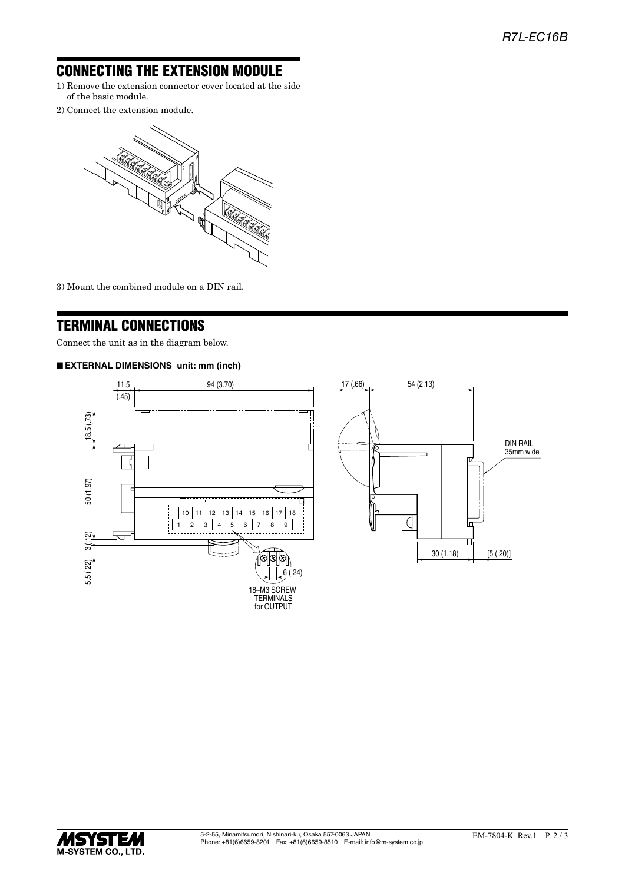### CONNECTING THE EXTENSION MODULE

- 1) Remove the extension connector cover located at the side of the basic module.
- 2) Connect the extension module.



3) Mount the combined module on a DIN rail.

### TERMINAL CONNECTIONS

Connect the unit as in the diagram below.

#### ■ **EXTERNAL DIMENSIONS unit: mm (inch)**